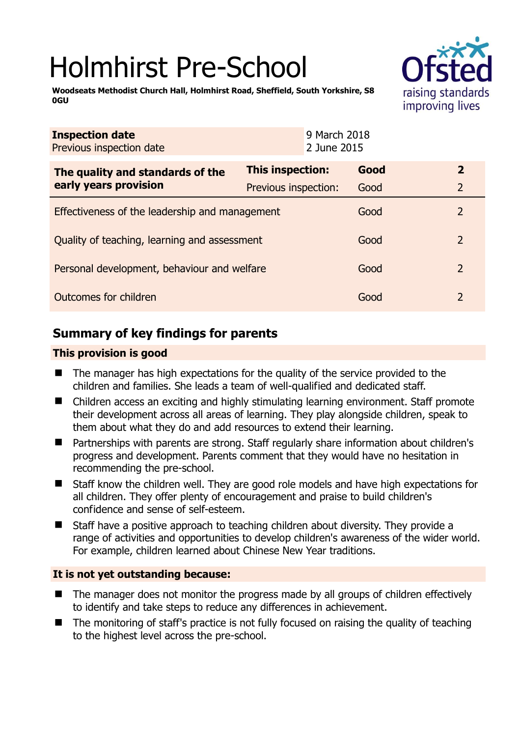# Holmhirst Pre-School



**Woodseats Methodist Church Hall, Holmhirst Road, Sheffield, South Yorkshire, S8 0GU** 

| <b>This inspection:</b>                        | Good | $\mathbf{2}$                                                |
|------------------------------------------------|------|-------------------------------------------------------------|
| Previous inspection:                           | Good | $\overline{2}$                                              |
| Effectiveness of the leadership and management |      | 2                                                           |
| Quality of teaching, learning and assessment   |      | $\overline{2}$                                              |
| Personal development, behaviour and welfare    |      | $\overline{2}$                                              |
| Outcomes for children                          |      | $\overline{2}$                                              |
|                                                |      | 9 March 2018<br>2 June 2015<br>Good<br>Good<br>Good<br>Good |

# **Summary of key findings for parents**

## **This provision is good**

- The manager has high expectations for the quality of the service provided to the children and families. She leads a team of well-qualified and dedicated staff.
- Children access an exciting and highly stimulating learning environment. Staff promote their development across all areas of learning. They play alongside children, speak to them about what they do and add resources to extend their learning.
- Partnerships with parents are strong. Staff regularly share information about children's progress and development. Parents comment that they would have no hesitation in recommending the pre-school.
- Staff know the children well. They are good role models and have high expectations for all children. They offer plenty of encouragement and praise to build children's confidence and sense of self-esteem.
- Staff have a positive approach to teaching children about diversity. They provide a range of activities and opportunities to develop children's awareness of the wider world. For example, children learned about Chinese New Year traditions.

## **It is not yet outstanding because:**

- The manager does not monitor the progress made by all groups of children effectively to identify and take steps to reduce any differences in achievement.
- The monitoring of staff's practice is not fully focused on raising the quality of teaching to the highest level across the pre-school.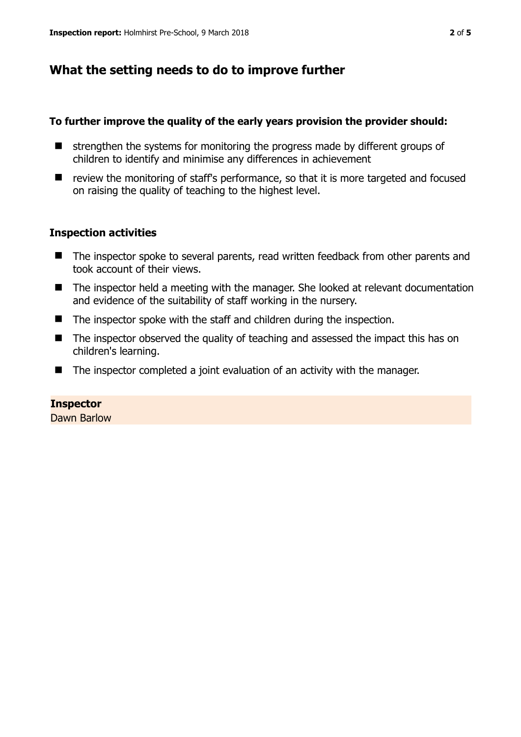# **What the setting needs to do to improve further**

## **To further improve the quality of the early years provision the provider should:**

- $\blacksquare$  strengthen the systems for monitoring the progress made by different groups of children to identify and minimise any differences in achievement
- review the monitoring of staff's performance, so that it is more targeted and focused on raising the quality of teaching to the highest level.

## **Inspection activities**

- The inspector spoke to several parents, read written feedback from other parents and took account of their views.
- The inspector held a meeting with the manager. She looked at relevant documentation and evidence of the suitability of staff working in the nursery.
- $\blacksquare$  The inspector spoke with the staff and children during the inspection.
- The inspector observed the quality of teaching and assessed the impact this has on children's learning.
- The inspector completed a joint evaluation of an activity with the manager.

## **Inspector**

Dawn Barlow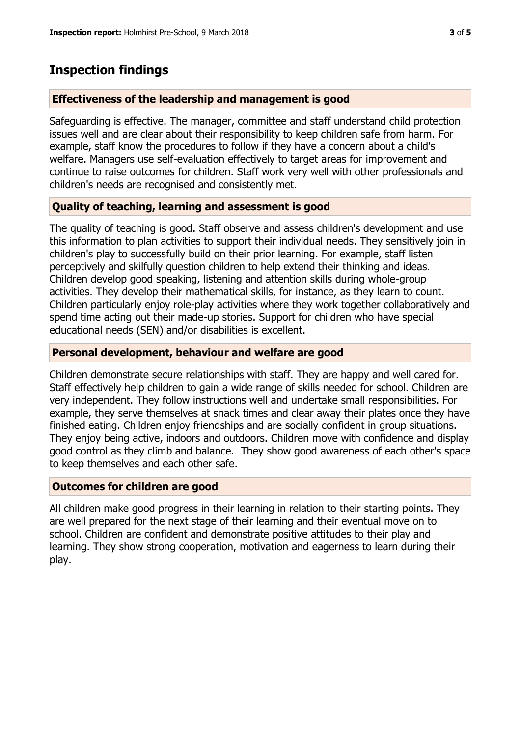## **Inspection findings**

#### **Effectiveness of the leadership and management is good**

Safeguarding is effective. The manager, committee and staff understand child protection issues well and are clear about their responsibility to keep children safe from harm. For example, staff know the procedures to follow if they have a concern about a child's welfare. Managers use self-evaluation effectively to target areas for improvement and continue to raise outcomes for children. Staff work very well with other professionals and children's needs are recognised and consistently met.

#### **Quality of teaching, learning and assessment is good**

The quality of teaching is good. Staff observe and assess children's development and use this information to plan activities to support their individual needs. They sensitively join in children's play to successfully build on their prior learning. For example, staff listen perceptively and skilfully question children to help extend their thinking and ideas. Children develop good speaking, listening and attention skills during whole-group activities. They develop their mathematical skills, for instance, as they learn to count. Children particularly enjoy role-play activities where they work together collaboratively and spend time acting out their made-up stories. Support for children who have special educational needs (SEN) and/or disabilities is excellent.

#### **Personal development, behaviour and welfare are good**

Children demonstrate secure relationships with staff. They are happy and well cared for. Staff effectively help children to gain a wide range of skills needed for school. Children are very independent. They follow instructions well and undertake small responsibilities. For example, they serve themselves at snack times and clear away their plates once they have finished eating. Children enjoy friendships and are socially confident in group situations. They enjoy being active, indoors and outdoors. Children move with confidence and display good control as they climb and balance. They show good awareness of each other's space to keep themselves and each other safe.

#### **Outcomes for children are good**

All children make good progress in their learning in relation to their starting points. They are well prepared for the next stage of their learning and their eventual move on to school. Children are confident and demonstrate positive attitudes to their play and learning. They show strong cooperation, motivation and eagerness to learn during their play.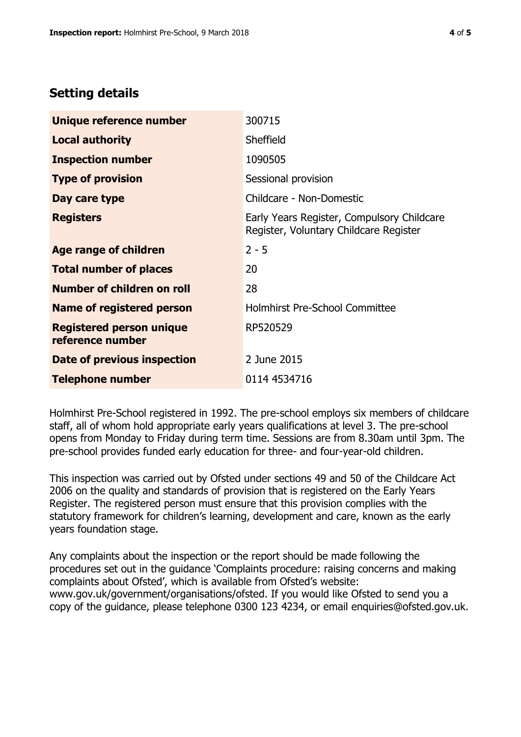# **Setting details**

| Unique reference number                             | 300715                                                                               |
|-----------------------------------------------------|--------------------------------------------------------------------------------------|
| <b>Local authority</b>                              | Sheffield                                                                            |
| <b>Inspection number</b>                            | 1090505                                                                              |
| <b>Type of provision</b>                            | Sessional provision                                                                  |
| Day care type                                       | Childcare - Non-Domestic                                                             |
| <b>Registers</b>                                    | Early Years Register, Compulsory Childcare<br>Register, Voluntary Childcare Register |
| Age range of children                               | $2 - 5$                                                                              |
| <b>Total number of places</b>                       | 20                                                                                   |
| Number of children on roll                          | 28                                                                                   |
| Name of registered person                           | <b>Holmhirst Pre-School Committee</b>                                                |
| <b>Registered person unique</b><br>reference number | RP520529                                                                             |
| <b>Date of previous inspection</b>                  | 2 June 2015                                                                          |
| <b>Telephone number</b>                             | 0114 4534716                                                                         |

Holmhirst Pre-School registered in 1992. The pre-school employs six members of childcare staff, all of whom hold appropriate early years qualifications at level 3. The pre-school opens from Monday to Friday during term time. Sessions are from 8.30am until 3pm. The pre-school provides funded early education for three- and four-year-old children.

This inspection was carried out by Ofsted under sections 49 and 50 of the Childcare Act 2006 on the quality and standards of provision that is registered on the Early Years Register. The registered person must ensure that this provision complies with the statutory framework for children's learning, development and care, known as the early years foundation stage.

Any complaints about the inspection or the report should be made following the procedures set out in the guidance 'Complaints procedure: raising concerns and making complaints about Ofsted', which is available from Ofsted's website: www.gov.uk/government/organisations/ofsted. If you would like Ofsted to send you a copy of the guidance, please telephone 0300 123 4234, or email enquiries@ofsted.gov.uk.